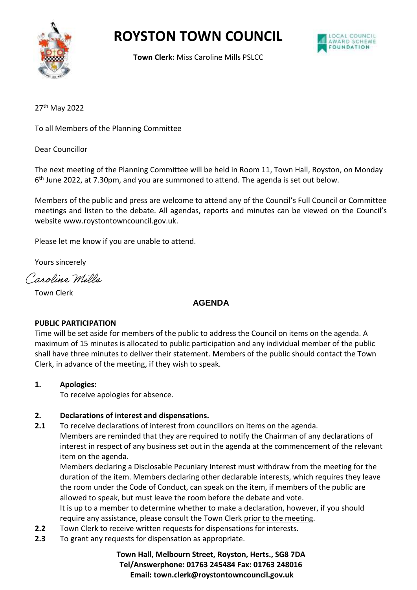

# **ROYSTON TOWN COUNCIL**



**Town Clerk:** Miss Caroline Mills PSLCC

27th May 2022

To all Members of the Planning Committee

Dear Councillor

The next meeting of the Planning Committee will be held in Room 11, Town Hall, Royston, on Monday 6 th June 2022, at 7.30pm, and you are summoned to attend. The agenda is set out below.

Members of the public and press are welcome to attend any of the Council's Full Council or Committee meetings and listen to the debate. All agendas, reports and minutes can be viewed on the Council's website www.roystontowncouncil.gov.uk.

Please let me know if you are unable to attend.

Yours sincerely

Caroline Mills

Town Clerk

## **AGENDA**

#### **PUBLIC PARTICIPATION**

Time will be set aside for members of the public to address the Council on items on the agenda. A maximum of 15 minutes is allocated to public participation and any individual member of the public shall have three minutes to deliver their statement. Members of the public should contact the Town Clerk, in advance of the meeting, if they wish to speak.

## **1. Apologies:**

To receive apologies for absence.

#### **2. Declarations of interest and dispensations.**

**2.1** To receive declarations of interest from councillors on items on the agenda. Members are reminded that they are required to notify the Chairman of any declarations of interest in respect of any business set out in the agenda at the commencement of the relevant item on the agenda.

Members declaring a Disclosable Pecuniary Interest must withdraw from the meeting for the duration of the item. Members declaring other declarable interests, which requires they leave the room under the Code of Conduct, can speak on the item, if members of the public are allowed to speak, but must leave the room before the debate and vote.

It is up to a member to determine whether to make a declaration, however, if you should require any assistance, please consult the Town Clerk prior to the meeting.

- **2.2** Town Clerk to receive written requests for dispensations for interests.
- **2.3** To grant any requests for dispensation as appropriate.

## **Town Hall, Melbourn Street, Royston, Herts., SG8 7DA Tel/Answerphone: 01763 245484 Fax: 01763 248016 Email: town.clerk@roystontowncouncil.gov.uk**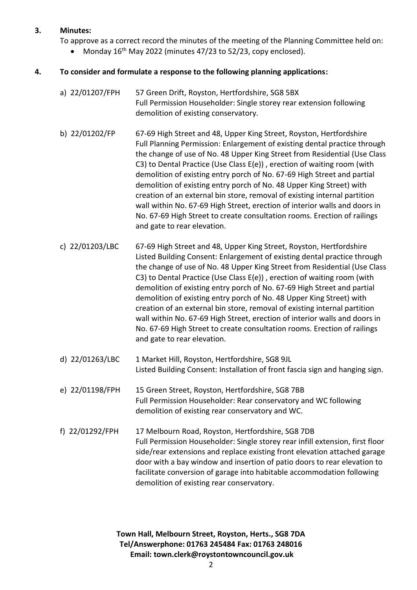### **3. Minutes:**

To approve as a correct record the minutes of the meeting of the Planning Committee held on:

Monday 16<sup>th</sup> May 2022 (minutes 47/23 to 52/23, copy enclosed).

## **4. To consider and formulate a response to the following planning applications:**

- a) 22/01207/FPH 57 Green Drift, Royston, Hertfordshire, SG8 5BX Full Permission Householder: Single storey rear extension following demolition of existing conservatory.
- b) 22/01202/FP 67-69 High Street and 48, Upper King Street, Royston, Hertfordshire Full Planning Permission: Enlargement of existing dental practice through the change of use of No. 48 Upper King Street from Residential (Use Class C3) to Dental Practice (Use Class E(e)) , erection of waiting room (with demolition of existing entry porch of No. 67-69 High Street and partial demolition of existing entry porch of No. 48 Upper King Street) with creation of an external bin store, removal of existing internal partition wall within No. 67-69 High Street, erection of interior walls and doors in No. 67-69 High Street to create consultation rooms. Erection of railings and gate to rear elevation.
- c) 22/01203/LBC 67-69 High Street and 48, Upper King Street, Royston, Hertfordshire Listed Building Consent: Enlargement of existing dental practice through the change of use of No. 48 Upper King Street from Residential (Use Class C3) to Dental Practice (Use Class E(e)) , erection of waiting room (with demolition of existing entry porch of No. 67-69 High Street and partial demolition of existing entry porch of No. 48 Upper King Street) with creation of an external bin store, removal of existing internal partition wall within No. 67-69 High Street, erection of interior walls and doors in No. 67-69 High Street to create consultation rooms. Erection of railings and gate to rear elevation.
- d) 22/01263/LBC 1 Market Hill, Royston, Hertfordshire, SG8 9JL Listed Building Consent: Installation of front fascia sign and hanging sign.
- e) 22/01198/FPH 15 Green Street, Royston, Hertfordshire, SG8 7BB Full Permission Householder: Rear conservatory and WC following demolition of existing rear conservatory and WC.
- f) 22/01292/FPH 17 Melbourn Road, Royston, Hertfordshire, SG8 7DB Full Permission Householder: Single storey rear infill extension, first floor side/rear extensions and replace existing front elevation attached garage door with a bay window and insertion of patio doors to rear elevation to facilitate conversion of garage into habitable accommodation following demolition of existing rear conservatory.

**Town Hall, Melbourn Street, Royston, Herts., SG8 7DA Tel/Answerphone: 01763 245484 Fax: 01763 248016 Email: town.clerk@roystontowncouncil.gov.uk**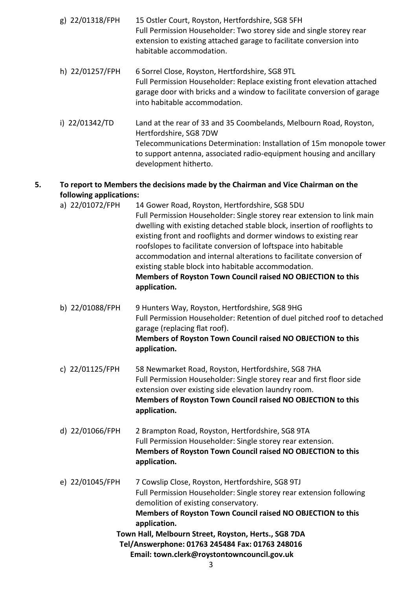- g) 22/01318/FPH 15 Ostler Court, Royston, Hertfordshire, SG8 5FH Full Permission Householder: Two storey side and single storey rear extension to existing attached garage to facilitate conversion into habitable accommodation.
- h) 22/01257/FPH 6 Sorrel Close, Royston, Hertfordshire, SG8 9TL Full Permission Householder: Replace existing front elevation attached garage door with bricks and a window to facilitate conversion of garage into habitable accommodation.
- i) 22/01342/TD Land at the rear of 33 and 35 Coombelands, Melbourn Road, Royston, Hertfordshire, SG8 7DW Telecommunications Determination: Installation of 15m monopole tower to support antenna, associated radio-equipment housing and ancillary development hitherto.

# **5. To report to Members the decisions made by the Chairman and Vice Chairman on the following applications:**

- a) 22/01072/FPH 14 Gower Road, Royston, Hertfordshire, SG8 5DU Full Permission Householder: Single storey rear extension to link main dwelling with existing detached stable block, insertion of rooflights to existing front and rooflights and dormer windows to existing rear roofslopes to facilitate conversion of loftspace into habitable accommodation and internal alterations to facilitate conversion of existing stable block into habitable accommodation. **Members of Royston Town Council raised NO OBJECTION to this application.**
- b) 22/01088/FPH 9 Hunters Way, Royston, Hertfordshire, SG8 9HG Full Permission Householder: Retention of duel pitched roof to detached garage (replacing flat roof). **Members of Royston Town Council raised NO OBJECTION to this application.**
- c) 22/01125/FPH 58 Newmarket Road, Royston, Hertfordshire, SG8 7HA Full Permission Householder: Single storey rear and first floor side extension over existing side elevation laundry room. **Members of Royston Town Council raised NO OBJECTION to this application.**
- d) 22/01066/FPH 2 Brampton Road, Royston, Hertfordshire, SG8 9TA Full Permission Householder: Single storey rear extension. **Members of Royston Town Council raised NO OBJECTION to this application.**
- **Town Hall, Melbourn Street, Royston, Herts., SG8 7DA Tel/Answerphone: 01763 245484 Fax: 01763 248016 Email: town.clerk@roystontowncouncil.gov.uk** e) 22/01045/FPH 7 Cowslip Close, Royston, Hertfordshire, SG8 9TJ Full Permission Householder: Single storey rear extension following demolition of existing conservatory. **Members of Royston Town Council raised NO OBJECTION to this application.**